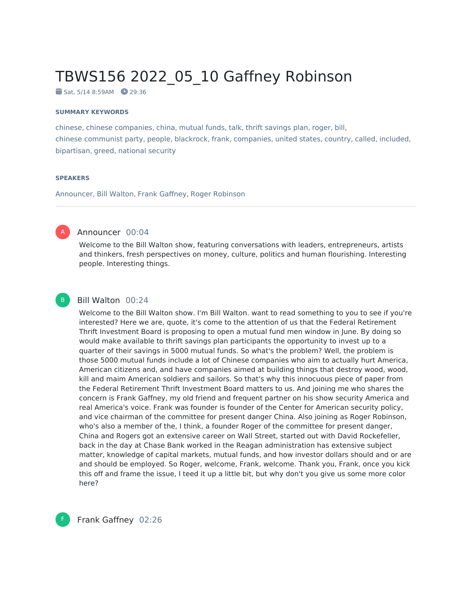# TBWS156 2022\_05\_10 Gaffney Robinson

 $Sat. 5/14 8:59AM 29:36$ 

#### **SUMMARY KEYWORDS**

chinese, chinese companies, china, mutual funds, talk, thrift savings plan, roger, bill, chinese communist party, people, blackrock, frank, companies, united states, country, called, included, bipartisan, greed, national security

#### **SPEAKERS**

Announcer, Bill Walton, Frank Gaffney, Roger Robinson



#### Announcer 00:04

Welcome to the Bill Walton show, featuring conversations with leaders, entrepreneurs, artists and thinkers, fresh perspectives on money, culture, politics and human flourishing. Interesting people. Interesting things.



# Bill Walton 00:24

Welcome to the Bill Walton show. I'm Bill Walton. want to read something to you to see if you're interested? Here we are, quote, it's come to the attention of us that the Federal Retirement Thrift Investment Board is proposing to open a mutual fund men window in June. By doing so would make available to thrift savings plan participants the opportunity to invest up to a quarter of their savings in 5000 mutual funds. So what's the problem? Well, the problem is those 5000 mutual funds include a lot of Chinese companies who aim to actually hurt America, American citizens and, and have companies aimed at building things that destroy wood, wood, kill and maim American soldiers and sailors. So that's why this innocuous piece of paper from the Federal Retirement Thrift Investment Board matters to us. And joining me who shares the concern is Frank Gaffney, my old friend and frequent partner on his show security America and real America's voice. Frank was founder is founder of the Center for American security policy, and vice chairman of the committee for present danger China. Also joining as Roger Robinson, who's also a member of the, I think, a founder Roger of the committee for present danger, China and Rogers got an extensive career on Wall Street, started out with David Rockefeller, back in the day at Chase Bank worked in the Reagan administration has extensive subject matter, knowledge of capital markets, mutual funds, and how investor dollars should and or are and should be employed. So Roger, welcome, Frank, welcome. Thank you, Frank, once you kick this off and frame the issue, I teed it up a little bit, but why don't you give us some more color here?



F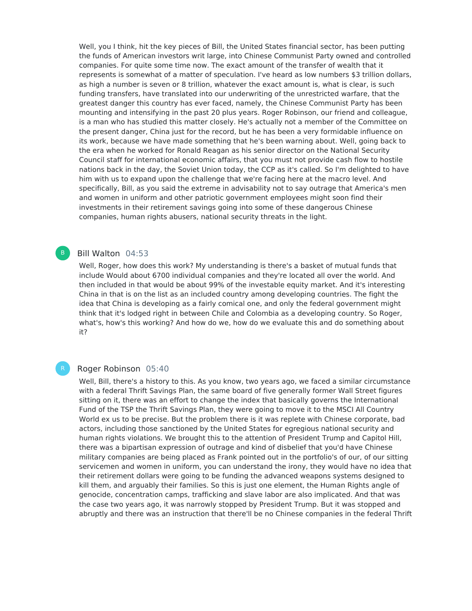Well, you I think, hit the key pieces of Bill, the United States financial sector, has been putting the funds of American investors writ large, into Chinese Communist Party owned and controlled companies. For quite some time now. The exact amount of the transfer of wealth that it represents is somewhat of a matter of speculation. I've heard as low numbers \$3 trillion dollars, as high a number is seven or 8 trillion, whatever the exact amount is, what is clear, is such funding transfers, have translated into our underwriting of the unrestricted warfare, that the greatest danger this country has ever faced, namely, the Chinese Communist Party has been mounting and intensifying in the past 20 plus years. Roger Robinson, our friend and colleague, is a man who has studied this matter closely. He's actually not a member of the Committee on the present danger, China just for the record, but he has been a very formidable influence on its work, because we have made something that he's been warning about. Well, going back to the era when he worked for Ronald Reagan as his senior director on the National Security Council staff for international economic affairs, that you must not provide cash flow to hostile nations back in the day, the Soviet Union today, the CCP as it's called. So I'm delighted to have him with us to expand upon the challenge that we're facing here at the macro level. And specifically, Bill, as you said the extreme in advisability not to say outrage that America's men and women in uniform and other patriotic government employees might soon find their investments in their retirement savings going into some of these dangerous Chinese companies, human rights abusers, national security threats in the light.

# Bill Walton 04:53

B

Well, Roger, how does this work? My understanding is there's a basket of mutual funds that include Would about 6700 individual companies and they're located all over the world. And then included in that would be about 99% of the investable equity market. And it's interesting China in that is on the list as an included country among developing countries. The fight the idea that China is developing as a fairly comical one, and only the federal government might think that it's lodged right in between Chile and Colombia as a developing country. So Roger, what's, how's this working? And how do we, how do we evaluate this and do something about it?

# Roger Robinson 05:40

Well, Bill, there's a history to this. As you know, two years ago, we faced a similar circumstance with a federal Thrift Savings Plan, the same board of five generally former Wall Street figures sitting on it, there was an effort to change the index that basically governs the International Fund of the TSP the Thrift Savings Plan, they were going to move it to the MSCI All Country World ex us to be precise. But the problem there is it was replete with Chinese corporate, bad actors, including those sanctioned by the United States for egregious national security and human rights violations. We brought this to the attention of President Trump and Capitol Hill, there was a bipartisan expression of outrage and kind of disbelief that you'd have Chinese military companies are being placed as Frank pointed out in the portfolio's of our, of our sitting servicemen and women in uniform, you can understand the irony, they would have no idea that their retirement dollars were going to be funding the advanced weapons systems designed to kill them, and arguably their families. So this is just one element, the Human Rights angle of genocide, concentration camps, trafficking and slave labor are also implicated. And that was the case two years ago, it was narrowly stopped by President Trump. But it was stopped and abruptly and there was an instruction that there'll be no Chinese companies in the federal Thrift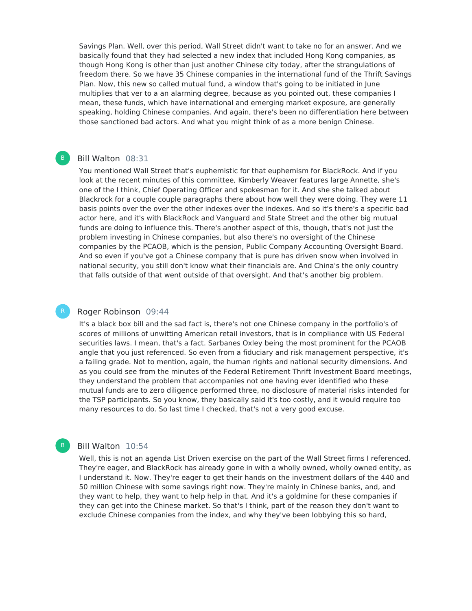Savings Plan. Well, over this period, Wall Street didn't want to take no for an answer. And we basically found that they had selected a new index that included Hong Kong companies, as though Hong Kong is other than just another Chinese city today, after the strangulations of freedom there. So we have 35 Chinese companies in the international fund of the Thrift Savings Plan. Now, this new so called mutual fund, a window that's going to be initiated in June multiplies that ver to a an alarming degree, because as you pointed out, these companies I mean, these funds, which have international and emerging market exposure, are generally speaking, holding Chinese companies. And again, there's been no differentiation here between those sanctioned bad actors. And what you might think of as a more benign Chinese.

# Bill Walton 08:31

You mentioned Wall Street that's euphemistic for that euphemism for BlackRock. And if you look at the recent minutes of this committee, Kimberly Weaver features large Annette, she's one of the I think, Chief Operating Officer and spokesman for it. And she she talked about Blackrock for a couple couple paragraphs there about how well they were doing. They were 11 basis points over the over the other indexes over the indexes. And so it's there's a specific bad actor here, and it's with BlackRock and Vanguard and State Street and the other big mutual funds are doing to influence this. There's another aspect of this, though, that's not just the problem investing in Chinese companies, but also there's no oversight of the Chinese companies by the PCAOB, which is the pension, Public Company Accounting Oversight Board. And so even if you've got a Chinese company that is pure has driven snow when involved in national security, you still don't know what their financials are. And China's the only country that falls outside of that went outside of that oversight. And that's another big problem.

## Roger Robinson 09:44

It's a black box bill and the sad fact is, there's not one Chinese company in the portfolio's of scores of millions of unwitting American retail investors, that is in compliance with US Federal securities laws. I mean, that's a fact. Sarbanes Oxley being the most prominent for the PCAOB angle that you just referenced. So even from a fiduciary and risk management perspective, it's a failing grade. Not to mention, again, the human rights and national security dimensions. And as you could see from the minutes of the Federal Retirement Thrift Investment Board meetings, they understand the problem that accompanies not one having ever identified who these mutual funds are to zero diligence performed three, no disclosure of material risks intended for the TSP participants. So you know, they basically said it's too costly, and it would require too many resources to do. So last time I checked, that's not a very good excuse.

# Bill Walton 10:54

 $B$ 

Well, this is not an agenda List Driven exercise on the part of the Wall Street firms I referenced. They're eager, and BlackRock has already gone in with a wholly owned, wholly owned entity, as I understand it. Now. They're eager to get their hands on the investment dollars of the 440 and 50 million Chinese with some savings right now. They're mainly in Chinese banks, and, and they want to help, they want to help help in that. And it's a goldmine for these companies if they can get into the Chinese market. So that's I think, part of the reason they don't want to exclude Chinese companies from the index, and why they've been lobbying this so hard,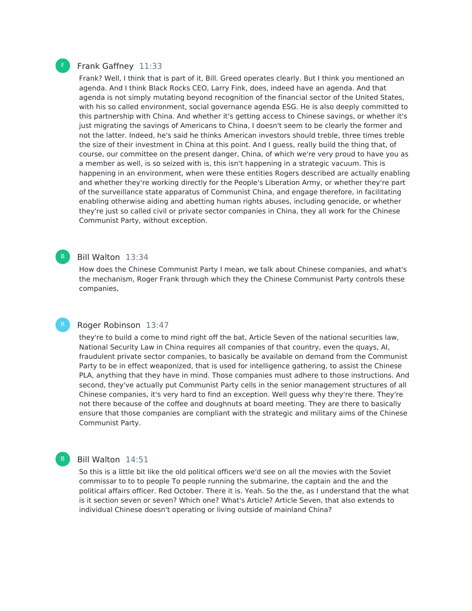# Frank Gaffney 11:33

Frank? Well, I think that is part of it, Bill. Greed operates clearly. But I think you mentioned an agenda. And I think Black Rocks CEO, Larry Fink, does, indeed have an agenda. And that agenda is not simply mutating beyond recognition of the financial sector of the United States, with his so called environment, social governance agenda ESG. He is also deeply committed to this partnership with China. And whether it's getting access to Chinese savings, or whether it's just migrating the savings of Americans to China, I doesn't seem to be clearly the former and not the latter. Indeed, he's said he thinks American investors should treble, three times treble the size of their investment in China at this point. And I guess, really build the thing that, of course, our committee on the present danger, China, of which we're very proud to have you as a member as well, is so seized with is, this isn't happening in a strategic vacuum. This is happening in an environment, when were these entities Rogers described are actually enabling and whether they're working directly for the People's Liberation Army, or whether they're part of the surveillance state apparatus of Communist China, and engage therefore, in facilitating enabling otherwise aiding and abetting human rights abuses, including genocide, or whether they're just so called civil or private sector companies in China, they all work for the Chinese Communist Party, without exception.

## Bill Walton 13:34

How does the Chinese Communist Party I mean, we talk about Chinese companies, and what's the mechanism, Roger Frank through which they the Chinese Communist Party controls these companies,

# Roger Robinson 13:47

they're to build a come to mind right off the bat, Article Seven of the national securities law, National Security Law in China requires all companies of that country, even the quays, AI, fraudulent private sector companies, to basically be available on demand from the Communist Party to be in effect weaponized, that is used for intelligence gathering, to assist the Chinese PLA, anything that they have in mind. Those companies must adhere to those instructions. And second, they've actually put Communist Party cells in the senior management structures of all Chinese companies, it's very hard to find an exception. Well guess why they're there. They're not there because of the coffee and doughnuts at board meeting. They are there to basically ensure that those companies are compliant with the strategic and military aims of the Chinese Communist Party.

# Bill Walton 14:51

So this is a little bit like the old political officers we'd see on all the movies with the Soviet commissar to to to people To people running the submarine, the captain and the and the political affairs officer. Red October. There it is. Yeah. So the the, as I understand that the what is it section seven or seven? Which one? What's Article? Article Seven, that also extends to individual Chinese doesn't operating or living outside of mainland China?



B

B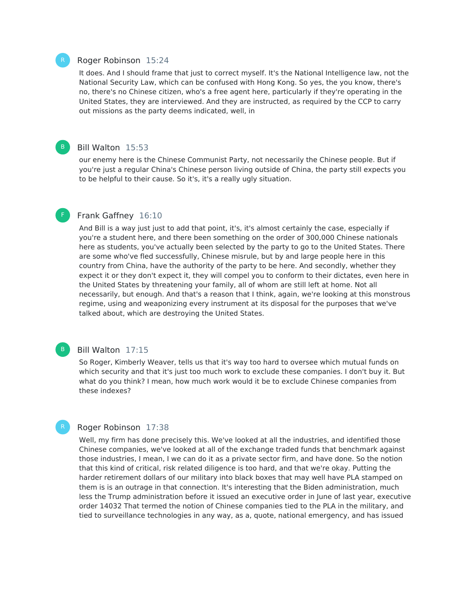#### Roger Robinson 15:24

It does. And I should frame that just to correct myself. It's the National Intelligence law, not the National Security Law, which can be confused with Hong Kong. So yes, the you know, there's no, there's no Chinese citizen, who's a free agent here, particularly if they're operating in the United States, they are interviewed. And they are instructed, as required by the CCP to carry out missions as the party deems indicated, well, in

# Bill Walton 15:53

our enemy here is the Chinese Communist Party, not necessarily the Chinese people. But if you're just a regular China's Chinese person living outside of China, the party still expects you to be helpful to their cause. So it's, it's a really ugly situation.

#### Frank Gaffney 16:10

And Bill is a way just just to add that point, it's, it's almost certainly the case, especially if you're a student here, and there been something on the order of 300,000 Chinese nationals here as students, you've actually been selected by the party to go to the United States. There are some who've fled successfully, Chinese misrule, but by and large people here in this country from China, have the authority of the party to be here. And secondly, whether they expect it or they don't expect it, they will compel you to conform to their dictates, even here in the United States by threatening your family, all of whom are still left at home. Not all necessarily, but enough. And that's a reason that I think, again, we're looking at this monstrous regime, using and weaponizing every instrument at its disposal for the purposes that we've talked about, which are destroying the United States.

# Bill Walton 17:15

So Roger, Kimberly Weaver, tells us that it's way too hard to oversee which mutual funds on which security and that it's just too much work to exclude these companies. I don't buy it. But what do you think? I mean, how much work would it be to exclude Chinese companies from these indexes?

#### Roger Robinson 17:38

Well, my firm has done precisely this. We've looked at all the industries, and identified those Chinese companies, we've looked at all of the exchange traded funds that benchmark against those industries, I mean, I we can do it as a private sector firm, and have done. So the notion that this kind of critical, risk related diligence is too hard, and that we're okay. Putting the harder retirement dollars of our military into black boxes that may well have PLA stamped on them is is an outrage in that connection. It's interesting that the Biden administration, much less the Trump administration before it issued an executive order in June of last year, executive order 14032 That termed the notion of Chinese companies tied to the PLA in the military, and tied to surveillance technologies in any way, as a, quote, national emergency, and has issued



B

F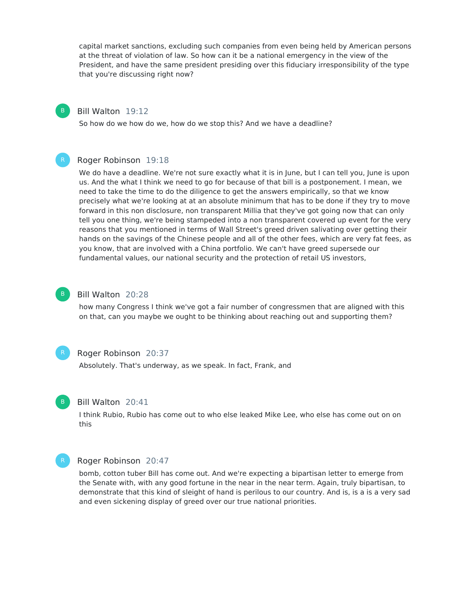capital market sanctions, excluding such companies from even being held by American persons at the threat of violation of law. So how can it be a national emergency in the view of the President, and have the same president presiding over this fiduciary irresponsibility of the type that you're discussing right now?

## Bill Walton 19:12

B

So how do we how do we, how do we stop this? And we have a deadline?

#### Roger Robinson 19:18

We do have a deadline. We're not sure exactly what it is in June, but I can tell you, June is upon us. And the what I think we need to go for because of that bill is a postponement. I mean, we need to take the time to do the diligence to get the answers empirically, so that we know precisely what we're looking at at an absolute minimum that has to be done if they try to move forward in this non disclosure, non transparent Millia that they've got going now that can only tell you one thing, we're being stampeded into a non transparent covered up event for the very reasons that you mentioned in terms of Wall Street's greed driven salivating over getting their hands on the savings of the Chinese people and all of the other fees, which are very fat fees, as you know, that are involved with a China portfolio. We can't have greed supersede our fundamental values, our national security and the protection of retail US investors,

#### Bill Walton 20:28

how many Congress I think we've got a fair number of congressmen that are aligned with this on that, can you maybe we ought to be thinking about reaching out and supporting them?



B

# Roger Robinson 20:37

Absolutely. That's underway, as we speak. In fact, Frank, and



#### Bill Walton 20:41

I think Rubio, Rubio has come out to who else leaked Mike Lee, who else has come out on on this

#### Roger Robinson 20:47

bomb, cotton tuber Bill has come out. And we're expecting a bipartisan letter to emerge from the Senate with, with any good fortune in the near in the near term. Again, truly bipartisan, to demonstrate that this kind of sleight of hand is perilous to our country. And is, is a is a very sad and even sickening display of greed over our true national priorities.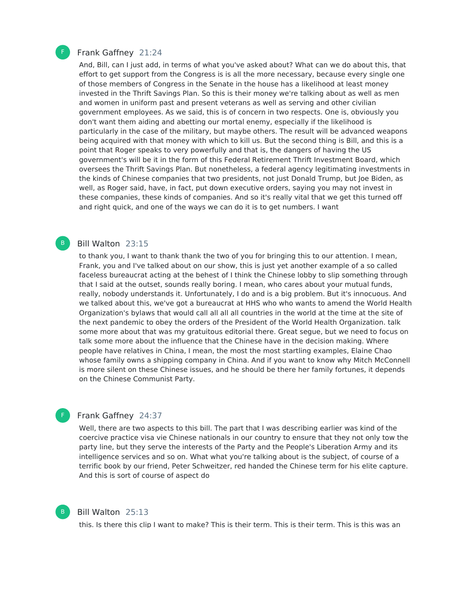

B

F

B

#### Frank Gaffney 21:24

And, Bill, can I just add, in terms of what you've asked about? What can we do about this, that effort to get support from the Congress is is all the more necessary, because every single one of those members of Congress in the Senate in the house has a likelihood at least money invested in the Thrift Savings Plan. So this is their money we're talking about as well as men and women in uniform past and present veterans as well as serving and other civilian government employees. As we said, this is of concern in two respects. One is, obviously you don't want them aiding and abetting our mortal enemy, especially if the likelihood is particularly in the case of the military, but maybe others. The result will be advanced weapons being acquired with that money with which to kill us. But the second thing is Bill, and this is a point that Roger speaks to very powerfully and that is, the dangers of having the US government's will be it in the form of this Federal Retirement Thrift Investment Board, which oversees the Thrift Savings Plan. But nonetheless, a federal agency legitimating investments in the kinds of Chinese companies that two presidents, not just Donald Trump, but Joe Biden, as well, as Roger said, have, in fact, put down executive orders, saying you may not invest in these companies, these kinds of companies. And so it's really vital that we get this turned off and right quick, and one of the ways we can do it is to get numbers. I want

#### Bill Walton 23:15

to thank you, I want to thank thank the two of you for bringing this to our attention. I mean, Frank, you and I've talked about on our show, this is just yet another example of a so called faceless bureaucrat acting at the behest of I think the Chinese lobby to slip something through that I said at the outset, sounds really boring. I mean, who cares about your mutual funds, really, nobody understands it. Unfortunately, I do and is a big problem. But it's innocuous. And we talked about this, we've got a bureaucrat at HHS who who wants to amend the World Health Organization's bylaws that would call all all all countries in the world at the time at the site of the next pandemic to obey the orders of the President of the World Health Organization. talk some more about that was my gratuitous editorial there. Great segue, but we need to focus on talk some more about the influence that the Chinese have in the decision making. Where people have relatives in China, I mean, the most the most startling examples, Elaine Chao whose family owns a shipping company in China. And if you want to know why Mitch McConnell is more silent on these Chinese issues, and he should be there her family fortunes, it depends on the Chinese Communist Party.

# Frank Gaffney 24:37

Well, there are two aspects to this bill. The part that I was describing earlier was kind of the coercive practice visa vie Chinese nationals in our country to ensure that they not only tow the party line, but they serve the interests of the Party and the People's Liberation Army and its intelligence services and so on. What what you're talking about is the subject, of course of a terrific book by our friend, Peter Schweitzer, red handed the Chinese term for his elite capture. And this is sort of course of aspect do

#### Bill Walton 25:13

this. Is there this clip I want to make? This is their term. This is their term. This is this was an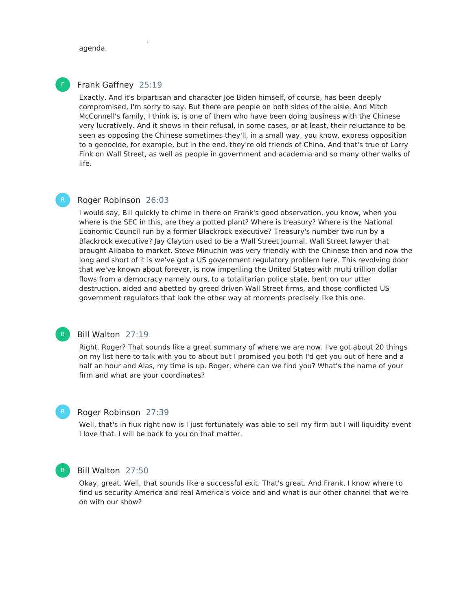agenda.

# F

# Frank Gaffney 25:19

Exactly. And it's bipartisan and character Joe Biden himself, of course, has been deeply compromised, I'm sorry to say. But there are people on both sides of the aisle. And Mitch McConnell's family, I think is, is one of them who have been doing business with the Chinese very lucratively. And it shows in their refusal, in some cases, or at least, their reluctance to be seen as opposing the Chinese sometimes they'll, in a small way, you know, express opposition to a genocide, for example, but in the end, they're old friends of China. And that's true of Larry Fink on Wall Street, as well as people in government and academia and so many other walks of life.

this. Is there this clip I want to make? This is their term. This is their term. This is this was an

# Roger Robinson 26:03

I would say, Bill quickly to chime in there on Frank's good observation, you know, when you where is the SEC in this, are they a potted plant? Where is treasury? Where is the National Economic Council run by a former Blackrock executive? Treasury's number two run by a Blackrock executive? Jay Clayton used to be a Wall Street Journal, Wall Street lawyer that brought Alibaba to market. Steve Minuchin was very friendly with the Chinese then and now the long and short of it is we've got a US government regulatory problem here. This revolving door that we've known about forever, is now imperiling the United States with multi trillion dollar flows from a democracy namely ours, to a totalitarian police state, bent on our utter destruction, aided and abetted by greed driven Wall Street firms, and those conflicted US government regulators that look the other way at moments precisely like this one.

# Bill Walton 27:19

B

Right. Roger? That sounds like a great summary of where we are now. I've got about 20 things on my list here to talk with you to about but I promised you both I'd get you out of here and a half an hour and Alas, my time is up. Roger, where can we find you? What's the name of your firm and what are your coordinates?

# Roger Robinson 27:39

Well, that's in flux right now is I just fortunately was able to sell my firm but I will liquidity event I love that. I will be back to you on that matter.



## Bill Walton 27:50

Okay, great. Well, that sounds like a successful exit. That's great. And Frank, I know where to find us security America and real America's voice and and what is our other channel that we're on with our show?